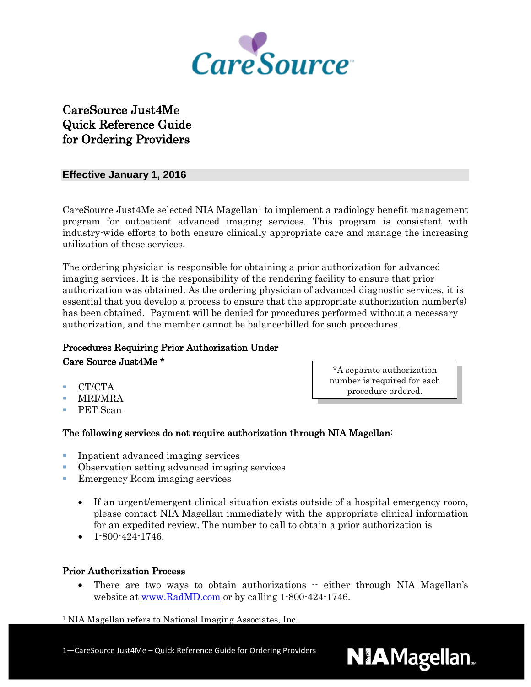

# CareSource Just4Me Quick Reference Guide for Ordering Providers

#### **Effective January 1, 2016**

CareSource Just4Me selected NIA Magellan<sup>[1](#page-0-0)</sup> to implement a radiology benefit management program for outpatient advanced imaging services. This program is consistent with industry-wide efforts to both ensure clinically appropriate care and manage the increasing utilization of these services.

The ordering physician is responsible for obtaining a prior authorization for advanced imaging services. It is the responsibility of the rendering facility to ensure that prior authorization was obtained. As the ordering physician of advanced diagnostic services, it is essential that you develop a process to ensure that the appropriate authorization number(s) has been obtained. Payment will be denied for procedures performed without a necessary authorization, and the member cannot be balance-billed for such procedures.

## Procedures Requiring Prior Authorization Under Care Source Just4Me \*

- CT/CTA
- MRI/MRA
- PET Scan

\*A separate authorization number is required for each procedure ordered.

**NIAMagellan.** 

### The following services do not require authorization through NIA Magellan:

- **Inpatient advanced imaging services**
- Observation setting advanced imaging services
- **EXECUTE:** Emergency Room imaging services
	- If an urgent/emergent clinical situation exists outside of a hospital emergency room, please contact NIA Magellan immediately with the appropriate clinical information for an expedited review. The number to call to obtain a prior authorization is
	- $\bullet$  1-800-424-1746.

#### Prior Authorization Process

• There are two ways to obtain authorizations  $\cdot$  either through NIA Magellan's website at [www.RadMD.com](http://www.radmd.com/) or by calling 1-800-424-1746.

#### <span id="page-0-0"></span>1 NIA Magellan refers to National Imaging Associates, Inc.

1—CareSource Just4Me – Quick Reference Guide for Ordering Providers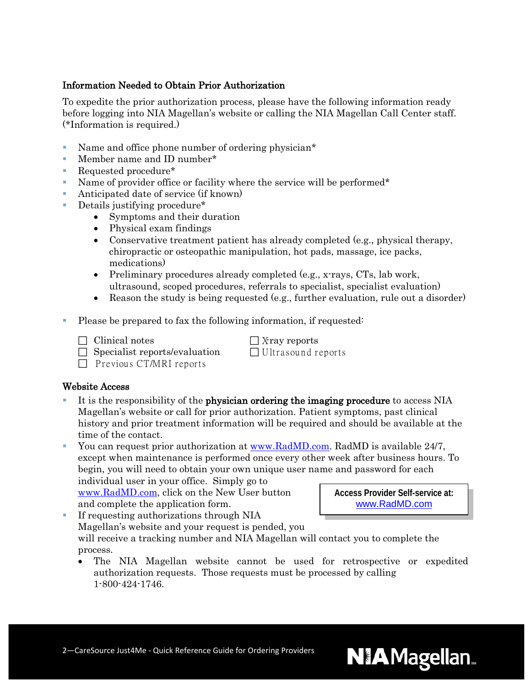#### Information Needed to Obtain Prior Authorization

To expedite the prior authorization process, please have the following information ready before logging into NIA Magellan's website or calling the NIA Magellan Call Center staff. (\*Information is required.)

- Name and office phone number of ordering physician\*
- **Member name and ID number\***
- Requested procedure<sup>\*</sup>
- Name of provider office or facility where the service will be performed\*
- Anticipated date of service (if known)
- Details justifying procedure\*
	- Symptoms and their duration
	- Physical exam findings
	- Conservative treatment patient has already completed (e.g., physical therapy, chiropractic or osteopathic manipulation, hot pads, massage, ice packs, medications)
	- Preliminary procedures already completed (e.g., x-rays, CTs, lab work, ultrasound, scoped procedures, referrals to specialist, specialist evaluation)
	- Reason the study is being requested (e.g., further evaluation, rule out a disorder)
- Please be prepared to fax the following information, if requested:
	- $\Box$  Clinical notes  $\Box$  X-ray reports
		-

 $\Box$  Specialist reports/evaluation  $\Box$  Ultrasound reports

 $\Box$  Previous CT/MRI reports

#### Website Access

- It is the responsibility of the physician ordering the imaging procedure to access NIA Magellan's website or call for prior authorization. Patient symptoms, past clinical history and prior treatment information will be required and should be available at the time of the contact.
- You can request prior authorization at [www.RadMD.com.](http://www.radmd.com/) RadMD is available 24/7, except when maintenance is performed once every other week after business hours. To begin, you will need to obtain your own unique user name and password for each

individual user in your office. Simply go to [www.RadMD.com,](http://www.radmd.com/) click on the New User button and complete the application form.

**Access Provider Self-service at:** [www.RadMD.com](http://www.radmd.com/)

- If requesting authorizations through NIA Magellan's website and your request is pended, you will receive a tracking number and NIA Magellan will contact you to complete the process.
	- The NIA Magellan website cannot be used for retrospective or expedited authorization requests. Those requests must be processed by calling 1-800-424-1746.